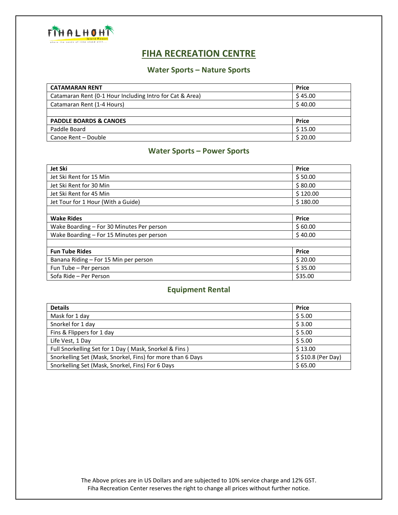

# **FIHA RECREATION CENTRE**

## **Water Sports – Nature Sports**

| <b>CATAMARAN RENT</b>                                    | <b>Price</b> |
|----------------------------------------------------------|--------------|
| Catamaran Rent (0-1 Hour Including Intro for Cat & Area) | \$45.00      |
| Catamaran Rent (1-4 Hours)                               | \$40.00      |
|                                                          |              |
| <b>PADDLE BOARDS &amp; CANOES</b>                        | <b>Price</b> |
| Paddle Board                                             | \$15.00      |
| Canoe Rent - Double                                      | \$20.00      |

# **Water Sports – Power Sports**

| Jet Ski                                   | <b>Price</b> |
|-------------------------------------------|--------------|
| Jet Ski Rent for 15 Min                   | \$50.00      |
| Jet Ski Rent for 30 Min                   | \$80.00      |
| Jet Ski Rent for 45 Min                   | \$120.00     |
| Jet Tour for 1 Hour (With a Guide)        | \$180.00     |
|                                           |              |
| <b>Wake Rides</b>                         | <b>Price</b> |
| Wake Boarding - For 30 Minutes Per person | \$60.00      |
| Wake Boarding – For 15 Minutes per person | \$40.00      |
|                                           |              |
| <b>Fun Tube Rides</b>                     | <b>Price</b> |
| Banana Riding - For 15 Min per person     | \$20.00      |
| Fun Tube - Per person                     | \$35.00      |
| Sofa Ride - Per Person                    | \$35.00      |

#### **Equipment Rental**

| <b>Details</b>                                             | <b>Price</b>       |
|------------------------------------------------------------|--------------------|
| Mask for 1 day                                             | \$5.00             |
| Snorkel for 1 day                                          | \$3.00             |
| Fins & Flippers for 1 day                                  | \$5.00             |
| Life Vest, 1 Day                                           | \$5.00             |
| Full Snorkelling Set for 1 Day (Mask, Snorkel & Fins)      | \$13.00            |
| Snorkelling Set (Mask, Snorkel, Fins) for more than 6 Days | \$\$10.8 (Per Day) |
| Snorkelling Set (Mask, Snorkel, Fins) For 6 Days           | \$65.00            |

The Above prices are in US Dollars and are subjected to 10% service charge and 12% GST. Fiha Recreation Center reserves the right to change all prices without further notice.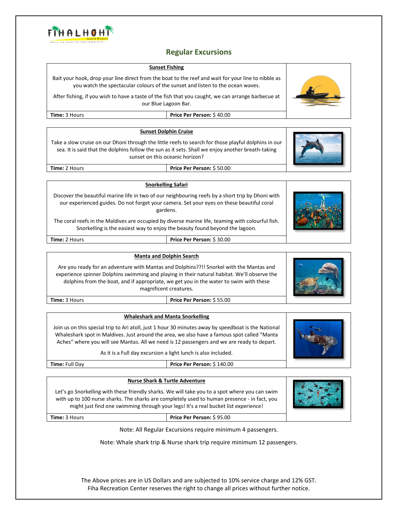

# **Regular Excursions**

|                                                                                                                                                                                                                                                                                                                                                | <b>Regular Excursions</b>                                                                                                                                                                                  |  |
|------------------------------------------------------------------------------------------------------------------------------------------------------------------------------------------------------------------------------------------------------------------------------------------------------------------------------------------------|------------------------------------------------------------------------------------------------------------------------------------------------------------------------------------------------------------|--|
| <b>Sunset Fishing</b>                                                                                                                                                                                                                                                                                                                          |                                                                                                                                                                                                            |  |
| Bait your hook, drop your line direct from the boat to the reef and wait for your line to nibble as<br>you watch the spectacular colours of the sunset and listen to the ocean waves.                                                                                                                                                          |                                                                                                                                                                                                            |  |
| After fishing, if you wish to have a taste of the fish that you caught, we can arrange barbecue at<br>our Blue Lagoon Bar.                                                                                                                                                                                                                     |                                                                                                                                                                                                            |  |
| Time: 3 Hours                                                                                                                                                                                                                                                                                                                                  | Price Per Person: \$40.00                                                                                                                                                                                  |  |
|                                                                                                                                                                                                                                                                                                                                                |                                                                                                                                                                                                            |  |
| <b>Sunset Dolphin Cruise</b>                                                                                                                                                                                                                                                                                                                   |                                                                                                                                                                                                            |  |
| Take a slow cruise on our Dhoni through the little reefs to search for those playful dolphins in our<br>sea. It is said that the dolphins follow the sun as it sets. Shall we enjoy another breath-taking<br>sunset on this oceanic horizon?                                                                                                   |                                                                                                                                                                                                            |  |
| Time: 2 Hours                                                                                                                                                                                                                                                                                                                                  | Price Per Person: \$50.00                                                                                                                                                                                  |  |
|                                                                                                                                                                                                                                                                                                                                                |                                                                                                                                                                                                            |  |
| <b>Snorkelling Safari</b>                                                                                                                                                                                                                                                                                                                      |                                                                                                                                                                                                            |  |
|                                                                                                                                                                                                                                                                                                                                                | Discover the beautiful marine life in two of our neighbouring reefs by a short trip by Dhoni with<br>our experienced guides. Do not forget your camera. Set your eyes on these beautiful coral<br>gardens. |  |
| The coral reefs in the Maldives are occupied by diverse marine life, teaming with colourful fish.<br>Snorkelling is the easiest way to enjoy the beauty found beyond the lagoon.                                                                                                                                                               |                                                                                                                                                                                                            |  |
| Time: 2 Hours                                                                                                                                                                                                                                                                                                                                  | Price Per Person: \$30.00                                                                                                                                                                                  |  |
|                                                                                                                                                                                                                                                                                                                                                |                                                                                                                                                                                                            |  |
| <b>Manta and Dolphin Search</b><br>Are you ready for an adventure with Mantas and Dolphins??!! Snorkel with the Mantas and<br>experience spinner Dolphins swimming and playing in their natural habitat. We'll observe the<br>dolphins from the boat, and if appropriate, we get you in the water to swim with these<br>magnificent creatures. |                                                                                                                                                                                                            |  |
| Time: 3 Hours                                                                                                                                                                                                                                                                                                                                  | Price Per Person: \$55.00                                                                                                                                                                                  |  |
|                                                                                                                                                                                                                                                                                                                                                |                                                                                                                                                                                                            |  |
| <b>Whaleshark and Manta Snorkelling</b>                                                                                                                                                                                                                                                                                                        |                                                                                                                                                                                                            |  |
| Join us on this special trip to Ari atoll, just 1 hour 30 minutes away by speedboat is the National<br>Whaleshark spot in Maldives. Just around the area, we also have a famous spot called "Manta<br>Aches" where you will see Mantas. All we need is 12 passengers and we are ready to depart.                                               |                                                                                                                                                                                                            |  |
|                                                                                                                                                                                                                                                                                                                                                | As it is a Full day excursion a light lunch is also included.                                                                                                                                              |  |
| Time: Full Day                                                                                                                                                                                                                                                                                                                                 | Price Per Person: \$140.00                                                                                                                                                                                 |  |
|                                                                                                                                                                                                                                                                                                                                                |                                                                                                                                                                                                            |  |
| <b>Nurse Shark &amp; Turtle Adventure</b>                                                                                                                                                                                                                                                                                                      |                                                                                                                                                                                                            |  |
| Let's go Snorkelling with these friendly sharks. We will take you to a spot where you can swim<br>with up to 100 nurse sharks. The sharks are completely used to human presence - in fact, you<br>might just find one swimming through your legs! It's a real bucket list experience!                                                          |                                                                                                                                                                                                            |  |
| Time: 3 Hours                                                                                                                                                                                                                                                                                                                                  | Price Per Person: \$95.00                                                                                                                                                                                  |  |
|                                                                                                                                                                                                                                                                                                                                                | Note: All Regular Excursions require minimum 4 passengers.                                                                                                                                                 |  |

Note: Whale shark trip & Nurse shark trip require minimum 12 passengers.

The Above prices are in US Dollars and are subjected to 10% service charge and 12% GST. Fiha Recreation Center reserves the right to change all prices without further notice.